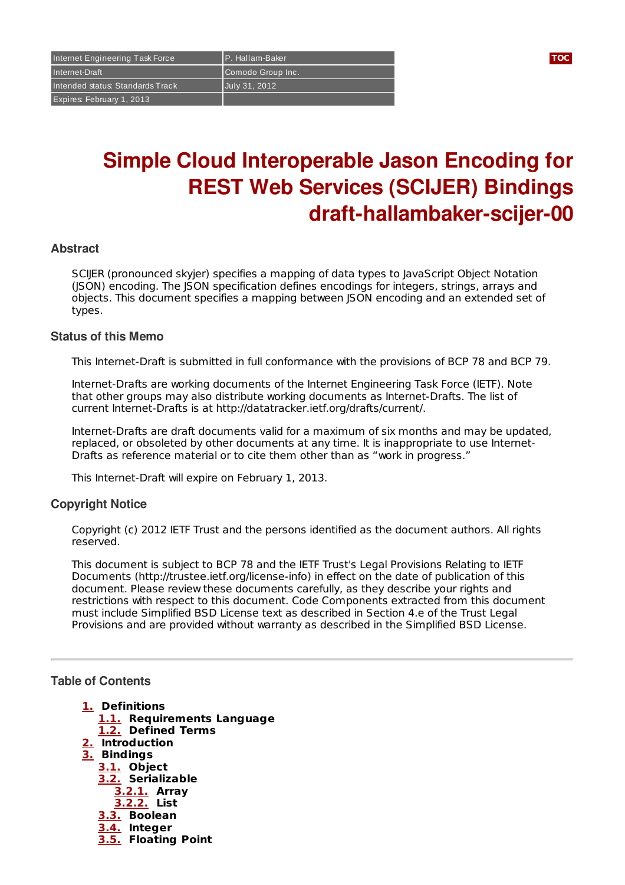Internet Engineering Task Force P. Hallam-Baker **[TOC](#page-0-0)** Internet-Draft Comodo Group Inc. Intended status: Standards Track July 31, 2012 Expires: February 1, 2013

# **Simple Cloud Interoperable Jason Encoding for REST Web Services (SCIJER) Bindings draft-hallambaker-scijer-00**

### **Abstract**

SCIJER (pronounced skyjer) specifies a mapping of data types to JavaScript Object Notation (JSON) encoding. The JSON specification defines encodings for integers, strings, arrays and objects. This document specifies a mapping between JSON encoding and an extended set of types.

#### **Status of this Memo**

This Internet-Draft is submitted in full conformance with the provisions of BCP 78 and BCP 79.

Internet-Drafts are working documents of the Internet Engineering Task Force (IETF). Note that other groups may also distribute working documents as Internet-Drafts. The list of current Internet-Drafts is at http://datatracker.ietf.org/drafts/current/.

Internet-Drafts are draft documents valid for a maximum of six months and may be updated, replaced, or obsoleted by other documents at any time. It is inappropriate to use Internet-Drafts as reference material or to cite them other than as "work in progress."

This Internet-Draft will expire on February 1, 2013.

### **Copyright Notice**

Copyright (c) 2012 IETF Trust and the persons identified as the document authors. All rights reserved.

This document is subject to BCP 78 and the IETF Trust's Legal Provisions Relating to IETF Documents (http://trustee.ietf.org/license-info) in effect on the date of publication of this document. Please review these documents carefully, as they describe your rights and restrictions with respect to this document. Code Components extracted from this document must include Simplified BSD License text as described in Section 4.e of the Trust Legal Provisions and are provided without warranty as described in the Simplified BSD License.

#### <span id="page-0-0"></span>**Table of Contents**

- **[1.](#page-1-0) Definitions**
	- **[1.1.](#page-1-1) Requirements Language**
	- **[1.2.](#page-1-2) Defined Terms**
- **[2.](#page-1-3) Introduction**
- **[3.](#page-1-4) Bindings**
	- **[3.1.](#page-1-5) Object**
	- **[3.2.](#page-1-6) Serializable [3.2.1.](#page-2-0) Array**
		- **[3.2.2.](#page-2-1) List**
	- **[3.3.](#page-2-2) Boolean**
	- **[3.4.](#page-2-3) Integer**
	- **[3.5.](#page-2-4) Floating Point**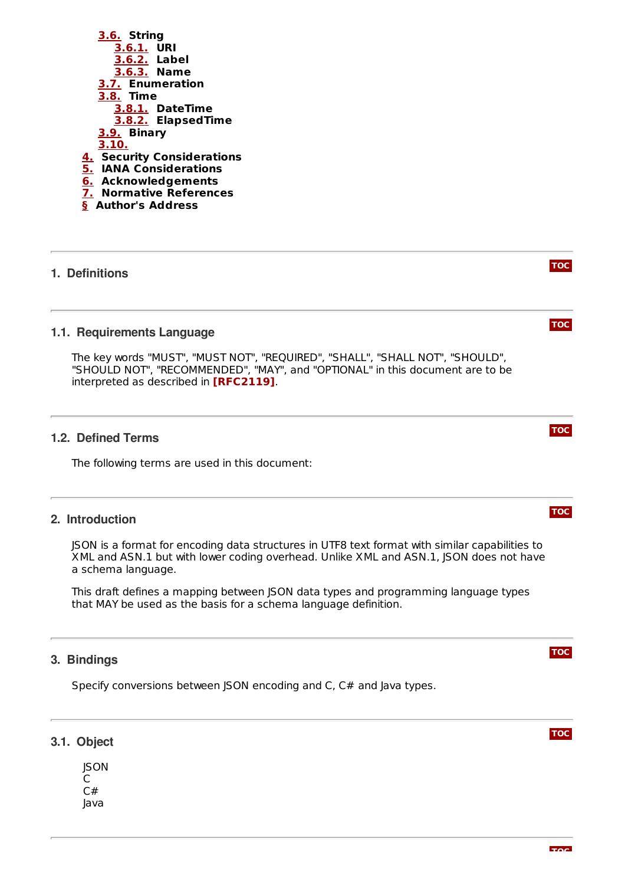

# <span id="page-1-1"></span><span id="page-1-0"></span>**1. Definitions**

#### **1.1. Requirements Language**

The key words "MUST", "MUST NOT", "REQUIRED", "SHALL", "SHALL NOT", "SHOULD", "SHOULD NOT", "RECOMMENDED", "MAY", and "OPTIONAL" in this document are to be interpreted as described in **[\[RFC2119\]](#page-5-1)**.

#### <span id="page-1-2"></span>**1.2. Defined Terms**

<span id="page-1-3"></span>The following terms are used in this document:

### **2. Introduction**

JSON is a format for encoding data structures in UTF8 text format with similar capabilities to XML and ASN.1 but with lower coding overhead. Unlike XML and ASN.1, JSON does not have a schema language.

This draft defines a mapping between JSON data types and programming language types that MAY be used as the basis for a schema language definition.

## <span id="page-1-4"></span>**3. Bindings**

<span id="page-1-5"></span>Specify conversions between JSON encoding and C, C# and Java types.

# **3.1. Object**

<span id="page-1-6"></span>**ISON**  $\overline{C}$  $C#$ Java

**[TOC](#page-0-0)**

**[TOC](#page-0-0)**

## **[TOC](#page-0-0)**

# **[TOC](#page-0-0)**

# **[TOC](#page-0-0)**

**[TOC](#page-0-0)**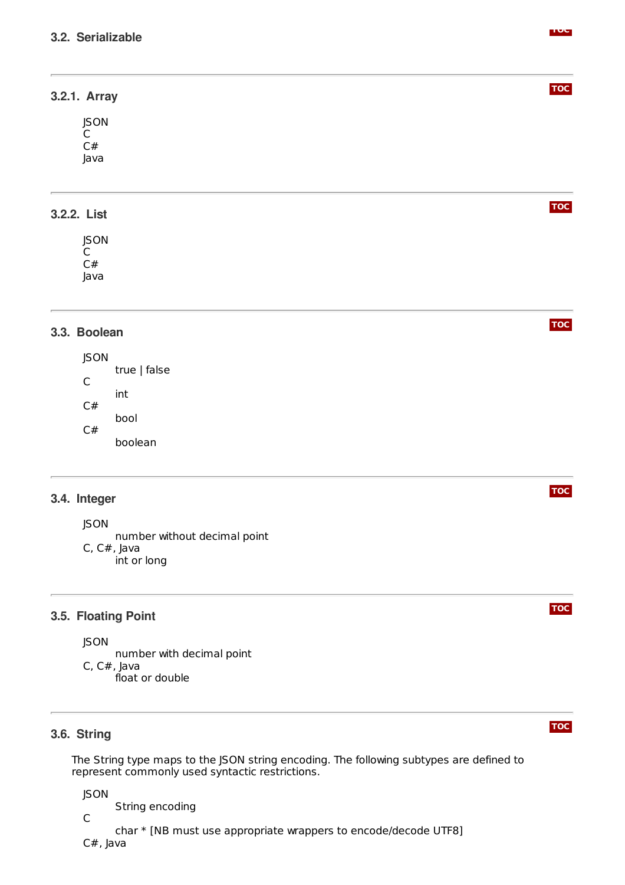<span id="page-2-0"></span>

| 3.2.1. Array |  |  |  |
|--------------|--|--|--|
| <b>JSON</b>  |  |  |  |
| $\mathsf{C}$ |  |  |  |
| C#           |  |  |  |
| Java         |  |  |  |
|              |  |  |  |
|              |  |  |  |
| 3.2.2. List  |  |  |  |
|              |  |  |  |
| <b>JSON</b>  |  |  |  |
| $C$<br>$C#$  |  |  |  |
|              |  |  |  |

<span id="page-2-1"></span>Java

# <span id="page-2-2"></span>**3.3. Boolean**

JSON true | false  $\mathsf{C}$ int C# bool C# boolean

# <span id="page-2-3"></span>**3.4. Integer**

JSON

number without decimal point C, C#, Java int or long

# <span id="page-2-4"></span>**3.5. Floating Point**

JSON

number with decimal point C, C#, Java float or double

# <span id="page-2-5"></span>**3.6. String**

The String type maps to the JSON string encoding. The following subtypes are defined to represent commonly used syntactic restrictions.

JSON

String encoding

C char \* [NB must use appropriate wrappers to encode/decode UTF8] C#, Java

**[TOC](#page-0-0)**

**[TOC](#page-0-0)**

**[TOC](#page-0-0)**

# **[TOC](#page-0-0)**

#### **[TOC](#page-0-0)**

# **[TOC](#page-0-0)**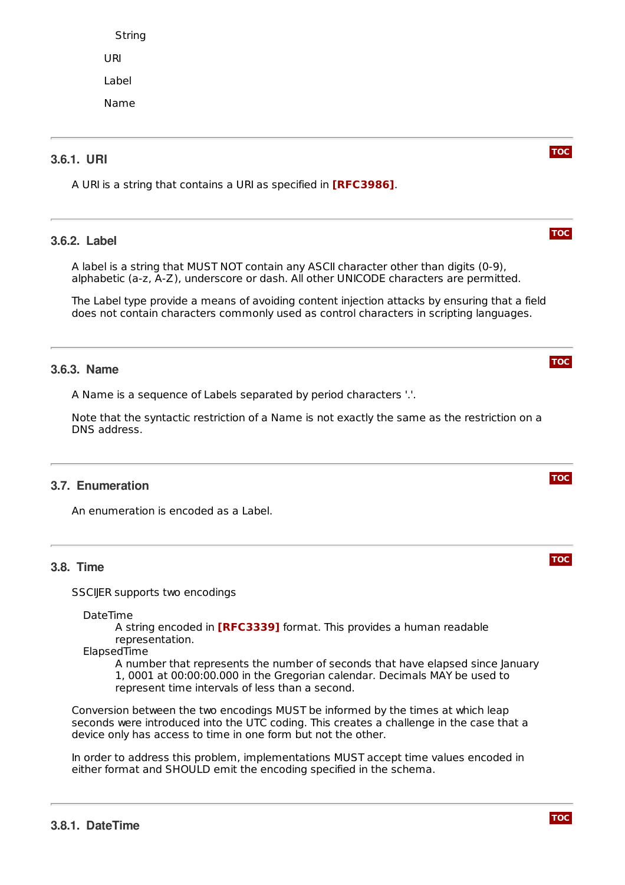String URI

Label

Name

# <span id="page-3-0"></span>**3.6.1. URI**

<span id="page-3-1"></span>A URI is a string that contains a URI as specified in **[\[RFC3986\]](#page-5-2)**.

# **3.6.2. Label**

A label is a string that MUST NOT contain any ASCII character other than digits (0-9), alphabetic (a-z, A-Z), underscore or dash. All other UNICODE characters are permitted.

The Label type provide a means of avoiding content injection attacks by ensuring that a field does not contain characters commonly used as control characters in scripting languages.

# <span id="page-3-2"></span>**3.6.3. Name**

A Name is a sequence of Labels separated by period characters '.'.

Note that the syntactic restriction of a Name is not exactly the same as the restriction on a DNS address.

# <span id="page-3-3"></span>**3.7. Enumeration**

<span id="page-3-4"></span>An enumeration is encoded as a Label.

# **3.8. Time**

SSCIIER supports two encodings

DateTime

A string encoded in [\[RFC3339\]](#page-5-3) format. This provides a human readable representation.

ElapsedTime

A number that represents the number of seconds that have elapsed since January 1, 0001 at 00:00:00.000 in the Gregorian calendar. Decimals MAY be used to represent time intervals of less than a second.

Conversion between the two encodings MUST be informed by the times at which leap seconds were introduced into the UTC coding. This creates a challenge in the case that a device only has access to time in one form but not the other.

<span id="page-3-5"></span>In order to address this problem, implementations MUST accept time values encoded in either format and SHOULD emit the encoding specified in the schema.





**[TOC](#page-0-0)**



**[TOC](#page-0-0)**

**[TOC](#page-0-0)**

**[TOC](#page-0-0)**

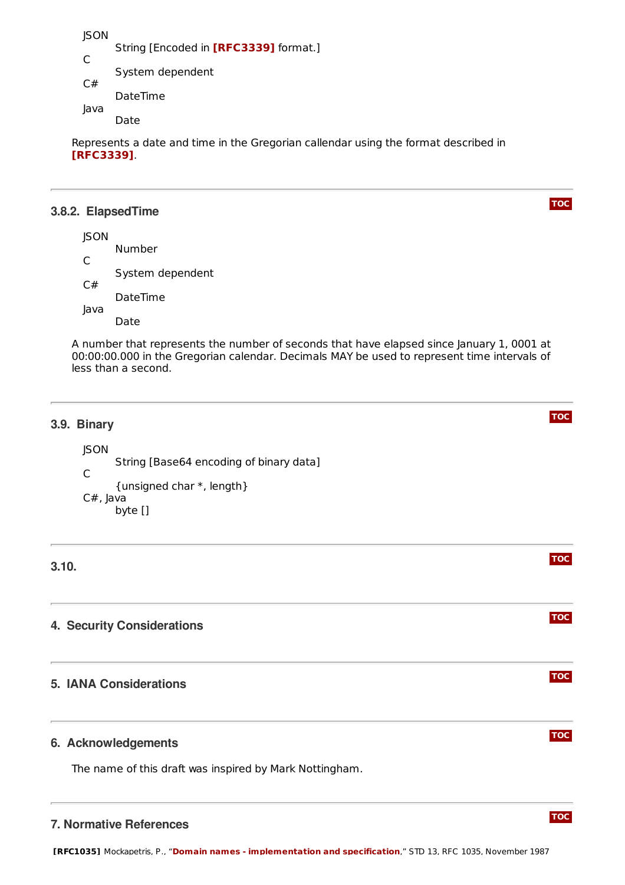**ISON** String [Encoded in **[\[RFC3339\]](#page-5-3)** format.] C System dependent C# DateTime Java

Date

Represents a date and time in the Gregorian callendar using the format described in . **[\[RFC3339\]](#page-5-3)**

### <span id="page-4-0"></span>**3.8.2. ElapsedTime**

**JSON** Number  $\mathsf{C}$ System dependent C# DateTime Java Date

A number that represents the number of seconds that have elapsed since January 1, 0001 at 00:00:00.000 in the Gregorian calendar. Decimals MAY be used to represent time intervals of less than a second.

**[TOC](#page-0-0)**

**[TOC](#page-0-0)**

**[TOC](#page-0-0)**

**[TOC](#page-0-0)**

**[TOC](#page-0-0)**

**[TOC](#page-0-0)**

**[TOC](#page-0-0)**

<span id="page-4-1"></span>

| 3.9. | <b>Binary</b> |
|------|---------------|
|------|---------------|

JSON String [Base64 encoding of binary data]  $\mathsf{C}$ {unsigned char \*, length} C#, Java byte []

# <span id="page-4-3"></span><span id="page-4-2"></span>**3.10.**

# <span id="page-4-4"></span>**4. Security Considerations**

# <span id="page-4-5"></span>**5. IANA Considerations**

### **6. Acknowledgements**

<span id="page-4-6"></span>The name of this draft was inspired by Mark Nottingham.

### **7. Normative References**